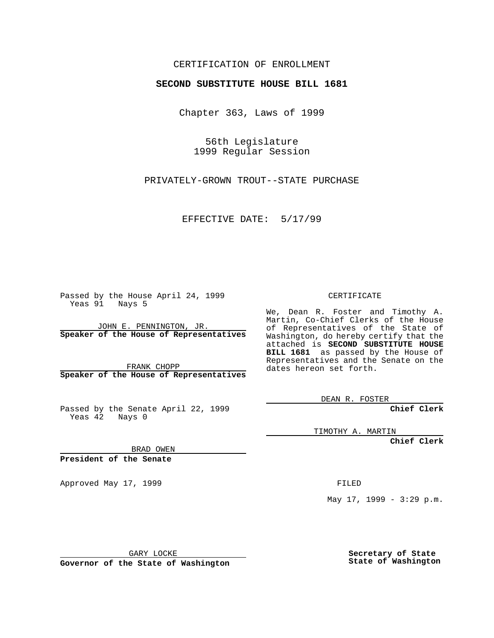## CERTIFICATION OF ENROLLMENT

## **SECOND SUBSTITUTE HOUSE BILL 1681**

Chapter 363, Laws of 1999

56th Legislature 1999 Regular Session

PRIVATELY-GROWN TROUT--STATE PURCHASE

EFFECTIVE DATE: 5/17/99

Passed by the House April 24, 1999 Yeas 91 Nays 5

JOHN E. PENNINGTON, JR. **Speaker of the House of Representatives**

FRANK CHOPP **Speaker of the House of Representatives**

Passed by the Senate April 22, 1999 Yeas 42 Nays 0

CERTIFICATE

We, Dean R. Foster and Timothy A. Martin, Co-Chief Clerks of the House of Representatives of the State of Washington, do hereby certify that the attached is **SECOND SUBSTITUTE HOUSE BILL 1681** as passed by the House of Representatives and the Senate on the dates hereon set forth.

DEAN R. FOSTER

**Chief Clerk**

TIMOTHY A. MARTIN

**Chief Clerk**

BRAD OWEN

**President of the Senate**

Approved May 17, 1999 **FILED** 

May 17, 1999 - 3:29 p.m.

GARY LOCKE

**Governor of the State of Washington**

**Secretary of State State of Washington**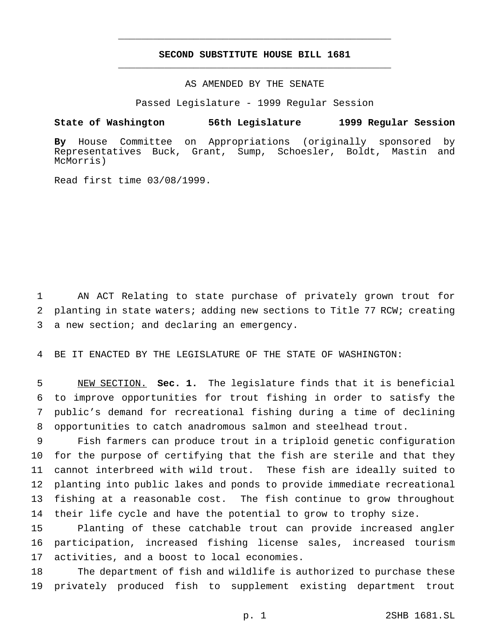## **SECOND SUBSTITUTE HOUSE BILL 1681** \_\_\_\_\_\_\_\_\_\_\_\_\_\_\_\_\_\_\_\_\_\_\_\_\_\_\_\_\_\_\_\_\_\_\_\_\_\_\_\_\_\_\_\_\_\_\_

\_\_\_\_\_\_\_\_\_\_\_\_\_\_\_\_\_\_\_\_\_\_\_\_\_\_\_\_\_\_\_\_\_\_\_\_\_\_\_\_\_\_\_\_\_\_\_

AS AMENDED BY THE SENATE

Passed Legislature - 1999 Regular Session

## **State of Washington 56th Legislature 1999 Regular Session**

**By** House Committee on Appropriations (originally sponsored by Representatives Buck, Grant, Sump, Schoesler, Boldt, Mastin and McMorris)

Read first time 03/08/1999.

 AN ACT Relating to state purchase of privately grown trout for planting in state waters; adding new sections to Title 77 RCW; creating a new section; and declaring an emergency.

BE IT ENACTED BY THE LEGISLATURE OF THE STATE OF WASHINGTON:

 NEW SECTION. **Sec. 1.** The legislature finds that it is beneficial to improve opportunities for trout fishing in order to satisfy the public's demand for recreational fishing during a time of declining opportunities to catch anadromous salmon and steelhead trout.

 Fish farmers can produce trout in a triploid genetic configuration for the purpose of certifying that the fish are sterile and that they cannot interbreed with wild trout. These fish are ideally suited to planting into public lakes and ponds to provide immediate recreational fishing at a reasonable cost. The fish continue to grow throughout their life cycle and have the potential to grow to trophy size.

 Planting of these catchable trout can provide increased angler participation, increased fishing license sales, increased tourism activities, and a boost to local economies.

 The department of fish and wildlife is authorized to purchase these privately produced fish to supplement existing department trout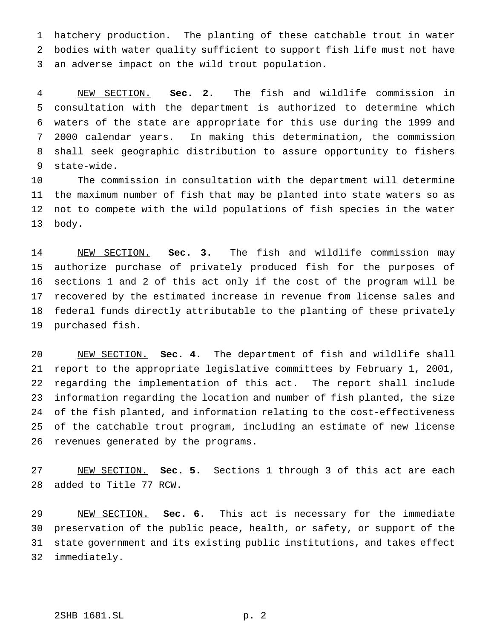hatchery production. The planting of these catchable trout in water bodies with water quality sufficient to support fish life must not have an adverse impact on the wild trout population.

 NEW SECTION. **Sec. 2.** The fish and wildlife commission in consultation with the department is authorized to determine which waters of the state are appropriate for this use during the 1999 and 2000 calendar years. In making this determination, the commission shall seek geographic distribution to assure opportunity to fishers state-wide.

 The commission in consultation with the department will determine the maximum number of fish that may be planted into state waters so as not to compete with the wild populations of fish species in the water body.

 NEW SECTION. **Sec. 3.** The fish and wildlife commission may authorize purchase of privately produced fish for the purposes of sections 1 and 2 of this act only if the cost of the program will be recovered by the estimated increase in revenue from license sales and federal funds directly attributable to the planting of these privately purchased fish.

 NEW SECTION. **Sec. 4.** The department of fish and wildlife shall report to the appropriate legislative committees by February 1, 2001, regarding the implementation of this act. The report shall include information regarding the location and number of fish planted, the size of the fish planted, and information relating to the cost-effectiveness of the catchable trout program, including an estimate of new license revenues generated by the programs.

 NEW SECTION. **Sec. 5.** Sections 1 through 3 of this act are each added to Title 77 RCW.

 NEW SECTION. **Sec. 6.** This act is necessary for the immediate preservation of the public peace, health, or safety, or support of the state government and its existing public institutions, and takes effect immediately.